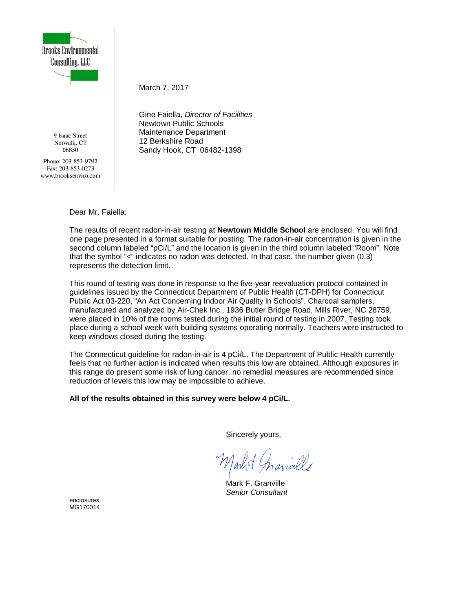

9 Isaac Street Norwalk, CT 06850

Phone: 203-853-9792 Fax: 203-853-0273 www.brooksenviro.com March 7, 2017

Gino Faiella, *Director of Facilities* Newtown Public Schools Maintenance Department 12 Berkshire Road Sandy Hook, CT 06482-1398

Dear Mr. Faiella:

The results of recent radon-in-air testing at **Newtown Middle School** are enclosed. You will find one page presented in a format suitable for posting. The radon-in-air concentration is given in the second column labeled "pCi/L" and the location is given in the third column labeled "Room". Note that the symbol "<" indicates no radon was detected. In that case, the number given (0.3) represents the detection limit.

This round of testing was done in response to the five-year reevaluation protocol contained in guidelines issued by the Connecticut Department of Public Health (CT-DPH) for Connecticut Public Act 03-220, "An Act Concerning Indoor Air Quality in Schools". Charcoal samplers, manufactured and analyzed by Air-Chek Inc., 1936 Butler Bridge Road, Mills River, NC 28759, were placed in 10% of the rooms tested during the initial round of testing in 2007. Testing took place during a school week with building systems operating normally. Teachers were instructed to keep windows closed during the testing.

The Connecticut guideline for radon-in-air is 4 pCi/L. The Department of Public Health currently feels that no further action is indicated when results this low are obtained. Although exposures in this range do present some risk of lung cancer, no remedial measures are recommended since reduction of levels this low may be impossible to achieve.

**All of the results obtained in this survey were below 4 pCi/L.**

Sincerely yours,

Mark F. Granville *Senior Consultant*

enclosures MG170014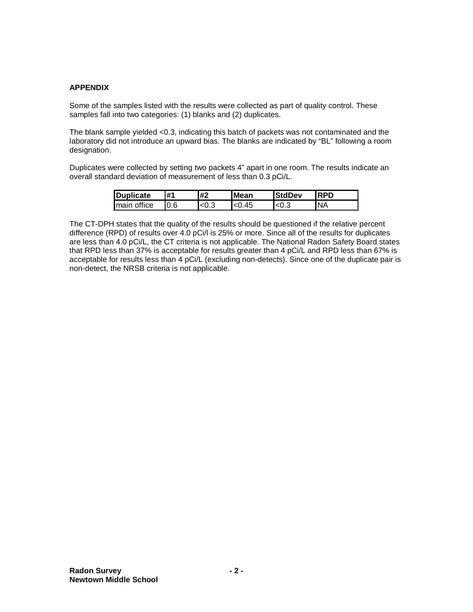## **APPENDIX**

Some of the samples listed with the results were collected as part of quality control. These samples fall into two categories: (1) blanks and (2) duplicates.

The blank sample yielded <0.3, indicating this batch of packets was not contaminated and the laboratory did not introduce an upward bias. The blanks are indicated by "BL" following a room designation.

Duplicates were collected by setting two packets 4" apart in one room. The results indicate an overall standard deviation of measurement of less than 0.3 pCi/L.

| Duplicate                | #1   | #2  | <b>Mean</b> | <b>StdDev</b> | RDN       |
|--------------------------|------|-----|-------------|---------------|-----------|
| I <sub>main office</sub> | I0.6 | ט.ט | .45         | ั<∪.⊾         | <b>NA</b> |

The CT-DPH states that the quality of the results should be questioned if the relative percent difference (RPD) of results over 4.0 pCi/l is 25% or more. Since all of the results for duplicates are less than 4.0 pCi/L, the CT criteria is not applicable. The National Radon Safety Board states that RPD less than 37% is acceptable for results greater than 4 pCi/L and RPD less than 67% is acceptable for results less than 4 pCi/L (excluding non-detects). Since one of the duplicate pair is non-detect, the NRSB criteria is not applicable.